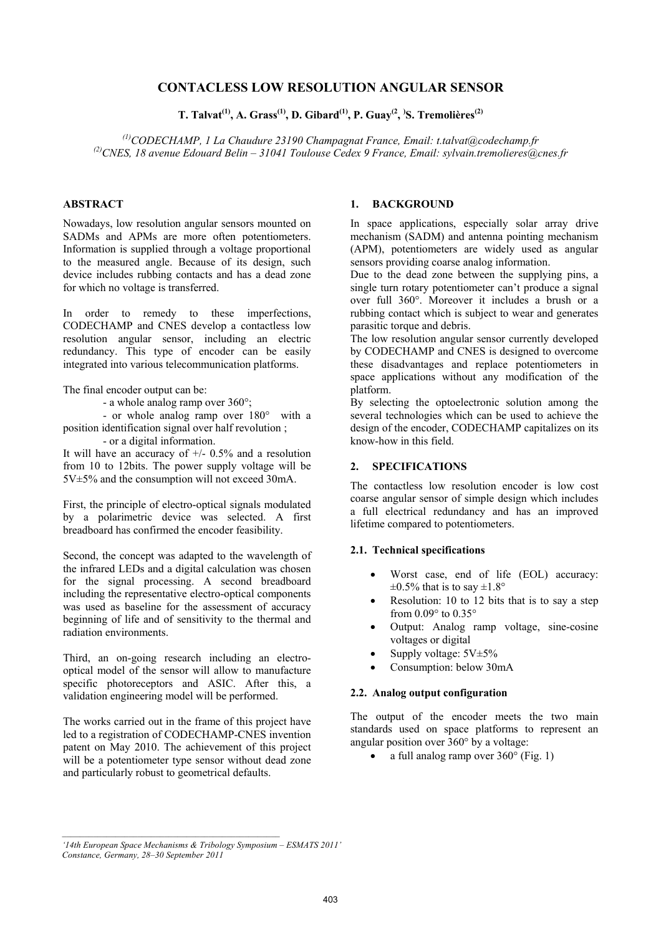# **CONTACLESS LOW RESOLUTION ANGULAR SENSOR**

**T. Talvat(1), A. Grass(1), D. Gibard(1), P. Guay(2, ) S. Tremolières(2)** 

*(1)CODECHAMP, 1 La Chaudure 23190 Champagnat France, Email: t.talvat@codechamp.fr (2)CNES, 18 avenue Edouard Belin – 31041 Toulouse Cedex 9 France, Email: sylvain.tremolieres@cnes.fr* 

# **ABSTRACT**

Nowadays, low resolution angular sensors mounted on SADMs and APMs are more often potentiometers. Information is supplied through a voltage proportional to the measured angle. Because of its design, such device includes rubbing contacts and has a dead zone for which no voltage is transferred.

In order to remedy to these imperfections, CODECHAMP and CNES develop a contactless low resolution angular sensor, including an electric redundancy. This type of encoder can be easily integrated into various telecommunication platforms.

The final encoder output can be:

- a whole analog ramp over 360°;

 - or whole analog ramp over 180° with a position identification signal over half revolution ; - or a digital information.

It will have an accuracy of  $+/- 0.5%$  and a resolution from 10 to 12bits. The power supply voltage will be 5V±5% and the consumption will not exceed 30mA.

First, the principle of electro-optical signals modulated by a polarimetric device was selected. A first breadboard has confirmed the encoder feasibility.

Second, the concept was adapted to the wavelength of the infrared LEDs and a digital calculation was chosen for the signal processing. A second breadboard including the representative electro-optical components was used as baseline for the assessment of accuracy beginning of life and of sensitivity to the thermal and radiation environments.

Third, an on-going research including an electrooptical model of the sensor will allow to manufacture specific photoreceptors and ASIC. After this, a validation engineering model will be performed.

The works carried out in the frame of this project have led to a registration of CODECHAMP-CNES invention patent on May 2010. The achievement of this project will be a potentiometer type sensor without dead zone and particularly robust to geometrical defaults.

# **1. BACKGROUND**

In space applications, especially solar array drive mechanism (SADM) and antenna pointing mechanism (APM), potentiometers are widely used as angular sensors providing coarse analog information.

Due to the dead zone between the supplying pins, a single turn rotary potentiometer can't produce a signal over full 360°. Moreover it includes a brush or a rubbing contact which is subject to wear and generates parasitic torque and debris.

The low resolution angular sensor currently developed by CODECHAMP and CNES is designed to overcome these disadvantages and replace potentiometers in space applications without any modification of the platform.

By selecting the optoelectronic solution among the several technologies which can be used to achieve the design of the encoder, CODECHAMP capitalizes on its know-how in this field.

# **2. SPECIFICATIONS**

The contactless low resolution encoder is low cost coarse angular sensor of simple design which includes a full electrical redundancy and has an improved lifetime compared to potentiometers.

#### **2.1. Technical specifications**

- Worst case, end of life (EOL) accuracy:  $\pm 0.5\%$  that is to say  $\pm 1.8$ °
- Resolution: 10 to 12 bits that is to say a step from 0.09° to 0.35°
- Output: Analog ramp voltage, sine-cosine voltages or digital
- Supply voltage:  $5V±5%$
- Consumption: below 30mA

#### **2.2. Analog output configuration**

The output of the encoder meets the two main standards used on space platforms to represent an angular position over 360° by a voltage:

• a full analog ramp over 360° (Fig. 1)

*<sup>&#</sup>x27;14th European Space Mechanisms & Tribology Symposium – ESMATS 2011'* 

*Constance, Germany, 28–30 September 2011*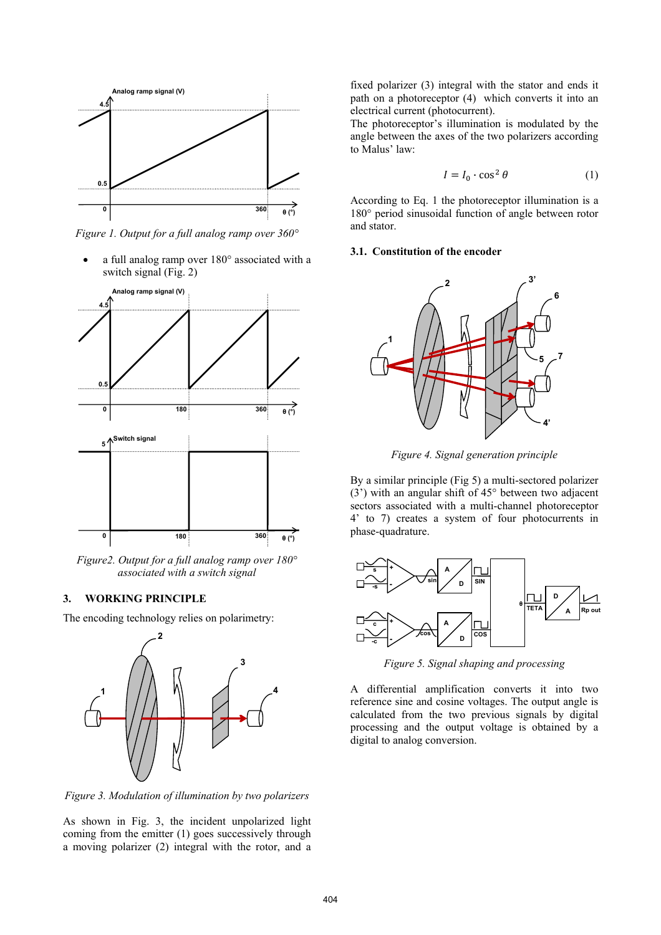

*Figure 1. Output for a full analog ramp over 360°* 

• a full analog ramp over 180° associated with a switch signal (Fig. 2)



*Figure2. Output for a full analog ramp over 180° associated with a switch signal* 

#### **3. WORKING PRINCIPLE**

The encoding technology relies on polarimetry:



*Figure 3. Modulation of illumination by two polarizers* 

As shown in Fig. 3, the incident unpolarized light coming from the emitter (1) goes successively through a moving polarizer (2) integral with the rotor, and a

fixed polarizer (3) integral with the stator and ends it path on a photoreceptor (4) which converts it into an electrical current (photocurrent).

The photoreceptor's illumination is modulated by the angle between the axes of the two polarizers according to Malus' law:

$$
I = I_0 \cdot \cos^2 \theta \tag{1}
$$

According to Eq. 1 the photoreceptor illumination is a 180° period sinusoidal function of angle between rotor and stator.

# **3.1. Constitution of the encoder**



*Figure 4. Signal generation principle* 

By a similar principle (Fig 5) a multi-sectored polarizer (3') with an angular shift of 45° between two adjacent sectors associated with a multi-channel photoreceptor 4' to 7) creates a system of four photocurrents in phase-quadrature.



*Figure 5. Signal shaping and processing* 

A differential amplification converts it into two reference sine and cosine voltages. The output angle is calculated from the two previous signals by digital processing and the output voltage is obtained by a digital to analog conversion.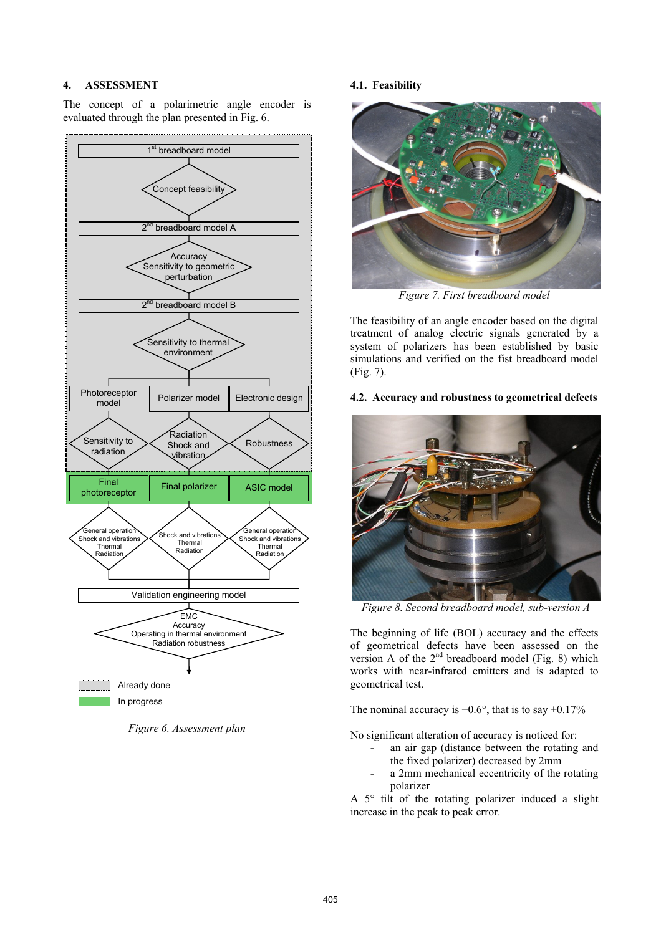### **4. ASSESSMENT**

The concept of a polarimetric angle encoder is evaluated through the plan presented in Fig. 6.



*Figure 6. Assessment plan* 

## **4.1. Feasibility**



*Figure 7. First breadboard model* 

The feasibility of an angle encoder based on the digital treatment of analog electric signals generated by a system of polarizers has been established by basic simulations and verified on the fist breadboard model (Fig. 7).

## **4.2. Accuracy and robustness to geometrical defects**



 *Figure 8. Second breadboard model, sub-version A* 

The beginning of life (BOL) accuracy and the effects of geometrical defects have been assessed on the version A of the  $2<sup>nd</sup>$  breadboard model (Fig. 8) which works with near-infrared emitters and is adapted to geometrical test.

The nominal accuracy is  $\pm 0.6^{\circ}$ , that is to say  $\pm 0.17\%$ 

No significant alteration of accuracy is noticed for:

- an air gap (distance between the rotating and the fixed polarizer) decreased by 2mm
- a 2mm mechanical eccentricity of the rotating polarizer

A 5° tilt of the rotating polarizer induced a slight increase in the peak to peak error.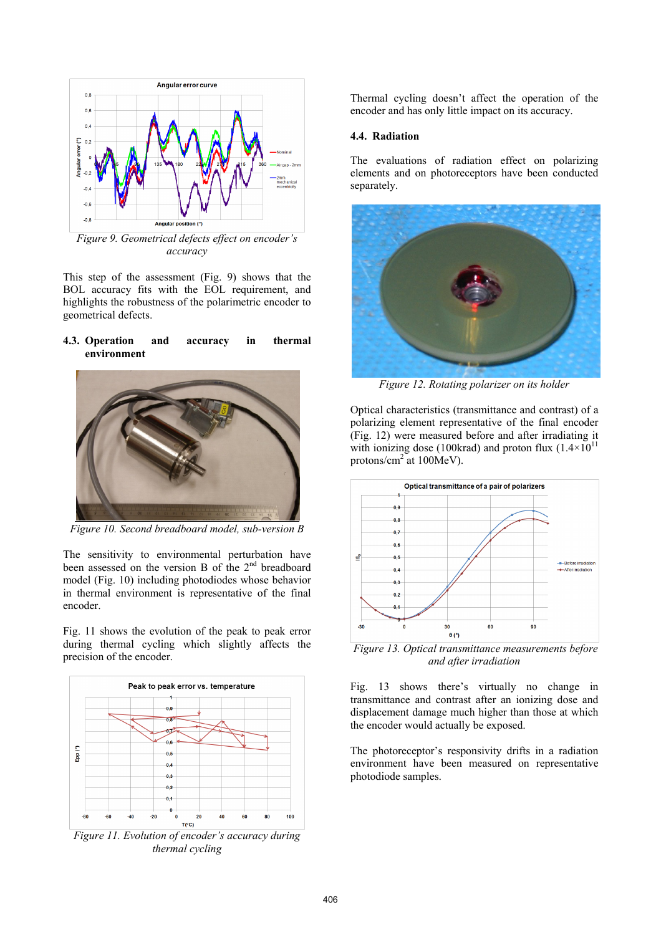

*Figure 9. Geometrical defects effect on encoder's accuracy* 

This step of the assessment (Fig. 9) shows that the BOL accuracy fits with the EOL requirement, and highlights the robustness of the polarimetric encoder to geometrical defects.

### **4.3. Operation and accuracy in thermal environment**



*Figure 10. Second breadboard model, sub-version B* 

The sensitivity to environmental perturbation have been assessed on the version B of the 2<sup>nd</sup> breadboard model (Fig. 10) including photodiodes whose behavior in thermal environment is representative of the final encoder.

Fig. 11 shows the evolution of the peak to peak error during thermal cycling which slightly affects the precision of the encoder.



*Figure 11. Evolution of encoder's accuracy during thermal cycling* 

Thermal cycling doesn't affect the operation of the encoder and has only little impact on its accuracy.

# **4.4. Radiation**

The evaluations of radiation effect on polarizing elements and on photoreceptors have been conducted separately.



*Figure 12. Rotating polarizer on its holder* 

Optical characteristics (transmittance and contrast) of a polarizing element representative of the final encoder (Fig. 12) were measured before and after irradiating it with ionizing dose (100krad) and proton flux  $(1.4\times10^{11}$ protons/cm<sup>2</sup> at 100MeV).



 *Figure 13. Optical transmittance measurements before and after irradiation* 

Fig. 13 shows there's virtually no change in transmittance and contrast after an ionizing dose and displacement damage much higher than those at which the encoder would actually be exposed.

The photoreceptor's responsivity drifts in a radiation environment have been measured on representative photodiode samples.